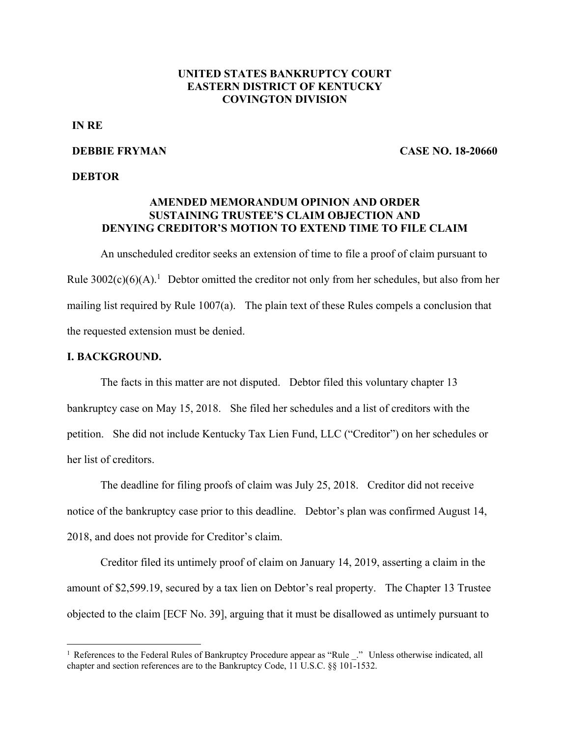# **UNITED STATES BANKRUPTCY COURT EASTERN DISTRICT OF KENTUCKY COVINGTON DIVISION**

# **IN RE**

### **DEBBIE FRYMAN**

**CASE NO. 18-20660** 

### **DEBTOR**

# **AMENDED MEMORANDUM OPINION AND ORDER SUSTAINING TRUSTEE'S CLAIM OBJECTION AND DENYING CREDITOR'S MOTION TO EXTEND TIME TO FILE CLAIM**

An unscheduled creditor seeks an extension of time to file a proof of claim pursuant to Rule  $3002(c)(6)(A)$ .<sup>1</sup> Debtor omitted the creditor not only from her schedules, but also from her mailing list required by Rule 1007(a). The plain text of these Rules compels a conclusion that the requested extension must be denied.

## **I. BACKGROUND.**

 $\overline{a}$ 

The facts in this matter are not disputed. Debtor filed this voluntary chapter 13 bankruptcy case on May 15, 2018. She filed her schedules and a list of creditors with the petition. She did not include Kentucky Tax Lien Fund, LLC ("Creditor") on her schedules or her list of creditors.

The deadline for filing proofs of claim was July 25, 2018. Creditor did not receive notice of the bankruptcy case prior to this deadline. Debtor's plan was confirmed August 14, 2018, and does not provide for Creditor's claim.

Creditor filed its untimely proof of claim on January 14, 2019, asserting a claim in the amount of \$2,599.19, secured by a tax lien on Debtor's real property. The Chapter 13 Trustee objected to the claim [ECF No. 39], arguing that it must be disallowed as untimely pursuant to

<sup>&</sup>lt;sup>1</sup> References to the Federal Rules of Bankruptcy Procedure appear as "Rule ." Unless otherwise indicated, all chapter and section references are to the Bankruptcy Code, 11 U.S.C. §§ 101-1532.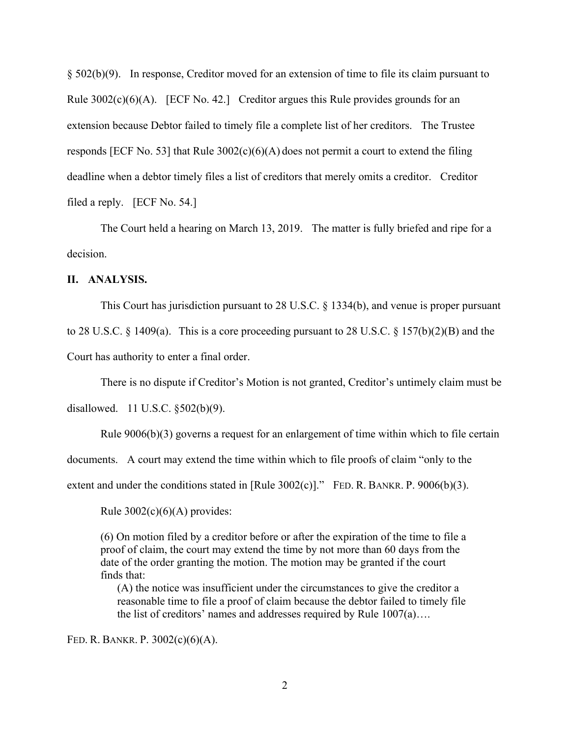§ 502(b)(9). In response, Creditor moved for an extension of time to file its claim pursuant to Rule  $3002(c)(6)(A)$ . [ECF No. 42.] Creditor argues this Rule provides grounds for an extension because Debtor failed to timely file a complete list of her creditors. The Trustee responds [ECF No. 53] that Rule  $3002(c)(6)(A)$  does not permit a court to extend the filing deadline when a debtor timely files a list of creditors that merely omits a creditor. Creditor filed a reply. [ECF No. 54.]

The Court held a hearing on March 13, 2019. The matter is fully briefed and ripe for a decision.

## **II. ANALYSIS.**

This Court has jurisdiction pursuant to 28 U.S.C. § 1334(b), and venue is proper pursuant to 28 U.S.C. § 1409(a). This is a core proceeding pursuant to 28 U.S.C. § 157(b)(2)(B) and the Court has authority to enter a final order.

There is no dispute if Creditor's Motion is not granted, Creditor's untimely claim must be disallowed. 11 U.S.C. §502(b)(9).

Rule 9006(b)(3) governs a request for an enlargement of time within which to file certain

documents. A court may extend the time within which to file proofs of claim "only to the

extent and under the conditions stated in [Rule  $3002(c)$ ]." FED. R. BANKR. P.  $9006(b)(3)$ .

Rule  $3002(c)(6)(A)$  provides:

(6) On motion filed by a creditor before or after the expiration of the time to file a proof of claim, the court may extend the time by not more than 60 days from the date of the order granting the motion. The motion may be granted if the court finds that:

(A) the notice was insufficient under the circumstances to give the creditor a reasonable time to file a proof of claim because the debtor failed to timely file the list of creditors' names and addresses required by Rule 1007(a)….

FED. R. BANKR. P. 3002(c)(6)(A).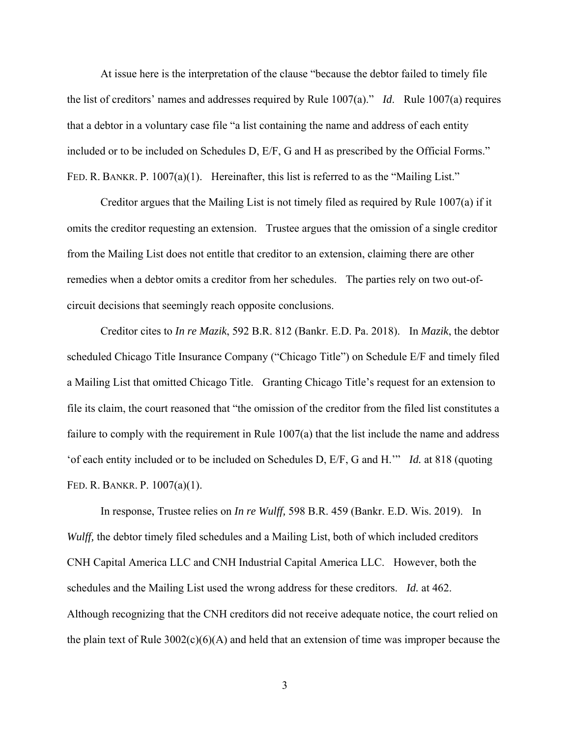At issue here is the interpretation of the clause "because the debtor failed to timely file the list of creditors' names and addresses required by Rule 1007(a)." *Id*. Rule 1007(a) requires that a debtor in a voluntary case file "a list containing the name and address of each entity included or to be included on Schedules D, E/F, G and H as prescribed by the Official Forms." FED. R. BANKR. P. 1007(a)(1). Hereinafter, this list is referred to as the "Mailing List."

Creditor argues that the Mailing List is not timely filed as required by Rule 1007(a) if it omits the creditor requesting an extension. Trustee argues that the omission of a single creditor from the Mailing List does not entitle that creditor to an extension, claiming there are other remedies when a debtor omits a creditor from her schedules. The parties rely on two out-ofcircuit decisions that seemingly reach opposite conclusions.

Creditor cites to *In re Mazik*, 592 B.R. 812 (Bankr. E.D. Pa. 2018). In *Mazik*, the debtor scheduled Chicago Title Insurance Company ("Chicago Title") on Schedule E/F and timely filed a Mailing List that omitted Chicago Title. Granting Chicago Title's request for an extension to file its claim, the court reasoned that "the omission of the creditor from the filed list constitutes a failure to comply with the requirement in Rule 1007(a) that the list include the name and address 'of each entity included or to be included on Schedules D, E/F, G and H.'" *Id.* at 818 (quoting FED. R. BANKR. P. 1007(a)(1).

In response, Trustee relies on *In re Wulff,* 598 B.R. 459 (Bankr. E.D. Wis. 2019). In *Wulff*, the debtor timely filed schedules and a Mailing List, both of which included creditors CNH Capital America LLC and CNH Industrial Capital America LLC. However, both the schedules and the Mailing List used the wrong address for these creditors. *Id.* at 462. Although recognizing that the CNH creditors did not receive adequate notice, the court relied on the plain text of Rule  $3002(c)(6)(A)$  and held that an extension of time was improper because the

3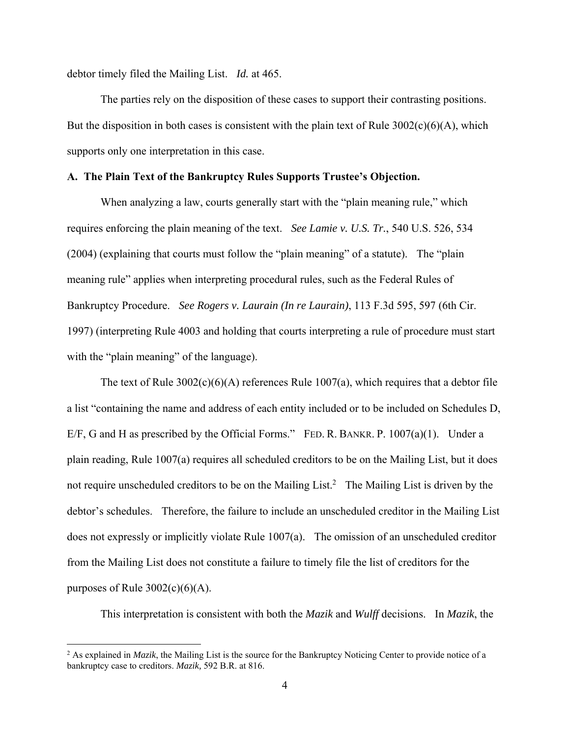debtor timely filed the Mailing List. *Id.* at 465.

The parties rely on the disposition of these cases to support their contrasting positions. But the disposition in both cases is consistent with the plain text of Rule  $3002(c)(6)(A)$ , which supports only one interpretation in this case.

## **A. The Plain Text of the Bankruptcy Rules Supports Trustee's Objection.**

When analyzing a law, courts generally start with the "plain meaning rule," which requires enforcing the plain meaning of the text. *See Lamie v. U.S. Tr.*, 540 U.S. 526, 534 (2004) (explaining that courts must follow the "plain meaning" of a statute). The "plain meaning rule" applies when interpreting procedural rules, such as the Federal Rules of Bankruptcy Procedure. *See Rogers v. Laurain (In re Laurain)*, 113 F.3d 595, 597 (6th Cir. 1997) (interpreting Rule 4003 and holding that courts interpreting a rule of procedure must start with the "plain meaning" of the language).

The text of Rule  $3002(c)(6)(A)$  references Rule 1007(a), which requires that a debtor file a list "containing the name and address of each entity included or to be included on Schedules D, E/F, G and H as prescribed by the Official Forms." FED. R. BANKR. P. 1007(a)(1). Under a plain reading, Rule 1007(a) requires all scheduled creditors to be on the Mailing List, but it does not require unscheduled creditors to be on the Mailing List.<sup>2</sup> The Mailing List is driven by the debtor's schedules. Therefore, the failure to include an unscheduled creditor in the Mailing List does not expressly or implicitly violate Rule 1007(a). The omission of an unscheduled creditor from the Mailing List does not constitute a failure to timely file the list of creditors for the purposes of Rule  $3002(c)(6)(A)$ .

This interpretation is consistent with both the *Mazik* and *Wulff* decisions. In *Mazik*, the

<u>.</u>

<sup>&</sup>lt;sup>2</sup> As explained in *Mazik*, the Mailing List is the source for the Bankruptcy Noticing Center to provide notice of a bankruptcy case to creditors. *Mazik,* 592 B.R. at 816.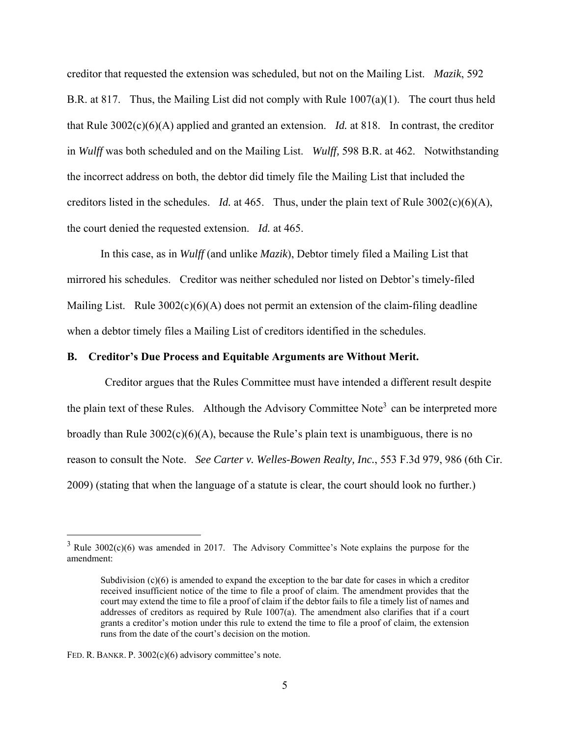creditor that requested the extension was scheduled, but not on the Mailing List. *Mazik*, 592 B.R. at 817. Thus, the Mailing List did not comply with Rule  $1007(a)(1)$ . The court thus held that Rule 3002(c)(6)(A) applied and granted an extension. *Id.* at 818. In contrast, the creditor in *Wulff* was both scheduled and on the Mailing List. *Wulff,* 598 B.R. at 462. Notwithstanding the incorrect address on both, the debtor did timely file the Mailing List that included the creditors listed in the schedules. *Id.* at 465. Thus, under the plain text of Rule 3002(c)(6)(A), the court denied the requested extension. *Id.* at 465.

In this case, as in *Wulff* (and unlike *Mazik*), Debtor timely filed a Mailing List that mirrored his schedules. Creditor was neither scheduled nor listed on Debtor's timely-filed Mailing List. Rule  $3002(c)(6)(A)$  does not permit an extension of the claim-filing deadline when a debtor timely files a Mailing List of creditors identified in the schedules.

#### **B. Creditor's Due Process and Equitable Arguments are Without Merit.**

 Creditor argues that the Rules Committee must have intended a different result despite the plain text of these Rules. Although the Advisory Committee Note<sup>3</sup> can be interpreted more broadly than Rule  $3002(c)(6)(A)$ , because the Rule's plain text is unambiguous, there is no reason to consult the Note. *See Carter v. Welles-Bowen Realty, Inc.*, 553 F.3d 979, 986 (6th Cir. 2009) (stating that when the language of a statute is clear, the court should look no further.)

 $\overline{a}$ 

 $3$  Rule 3002(c)(6) was amended in 2017. The Advisory Committee's Note explains the purpose for the amendment:

Subdivision  $(c)(6)$  is amended to expand the exception to the bar date for cases in which a creditor received insufficient notice of the time to file a proof of claim. The amendment provides that the court may extend the time to file a proof of claim if the debtor fails to file a timely list of names and addresses of creditors as required by Rule 1007(a). The amendment also clarifies that if a court grants a creditor's motion under this rule to extend the time to file a proof of claim, the extension runs from the date of the court's decision on the motion.

FED. R. BANKR. P. 3002(c)(6) advisory committee's note.